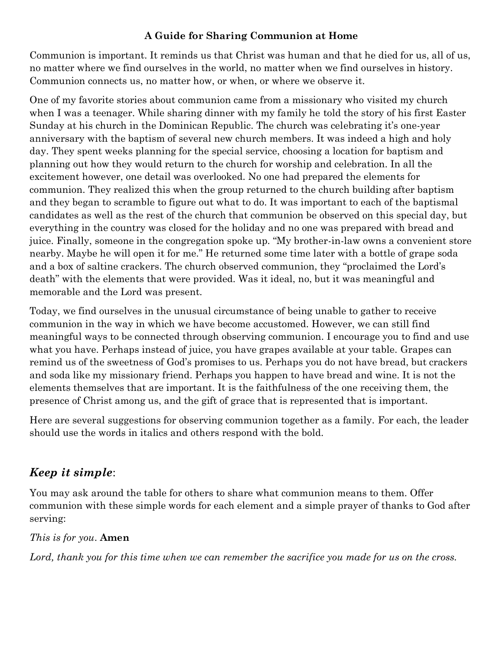#### **A Guide for Sharing Communion at Home**

Communion is important. It reminds us that Christ was human and that he died for us, all of us, no matter where we find ourselves in the world, no matter when we find ourselves in history. Communion connects us, no matter how, or when, or where we observe it.

One of my favorite stories about communion came from a missionary who visited my church when I was a teenager. While sharing dinner with my family he told the story of his first Easter Sunday at his church in the Dominican Republic. The church was celebrating it's one-year anniversary with the baptism of several new church members. It was indeed a high and holy day. They spent weeks planning for the special service, choosing a location for baptism and planning out how they would return to the church for worship and celebration. In all the excitement however, one detail was overlooked. No one had prepared the elements for communion. They realized this when the group returned to the church building after baptism and they began to scramble to figure out what to do. It was important to each of the baptismal candidates as well as the rest of the church that communion be observed on this special day, but everything in the country was closed for the holiday and no one was prepared with bread and juice. Finally, someone in the congregation spoke up. "My brother-in-law owns a convenient store nearby. Maybe he will open it for me." He returned some time later with a bottle of grape soda and a box of saltine crackers. The church observed communion, they "proclaimed the Lord's death" with the elements that were provided. Was it ideal, no, but it was meaningful and memorable and the Lord was present.

Today, we find ourselves in the unusual circumstance of being unable to gather to receive communion in the way in which we have become accustomed. However, we can still find meaningful ways to be connected through observing communion. I encourage you to find and use what you have. Perhaps instead of juice, you have grapes available at your table. Grapes can remind us of the sweetness of God's promises to us. Perhaps you do not have bread, but crackers and soda like my missionary friend. Perhaps you happen to have bread and wine. It is not the elements themselves that are important. It is the faithfulness of the one receiving them, the presence of Christ among us, and the gift of grace that is represented that is important.

Here are several suggestions for observing communion together as a family. For each, the leader should use the words in italics and others respond with the bold.

# *Keep it simple*:

You may ask around the table for others to share what communion means to them. Offer communion with these simple words for each element and a simple prayer of thanks to God after serving:

#### *This is for you*. **Amen**

*Lord, thank you for this time when we can remember the sacrifice you made for us on the cross.*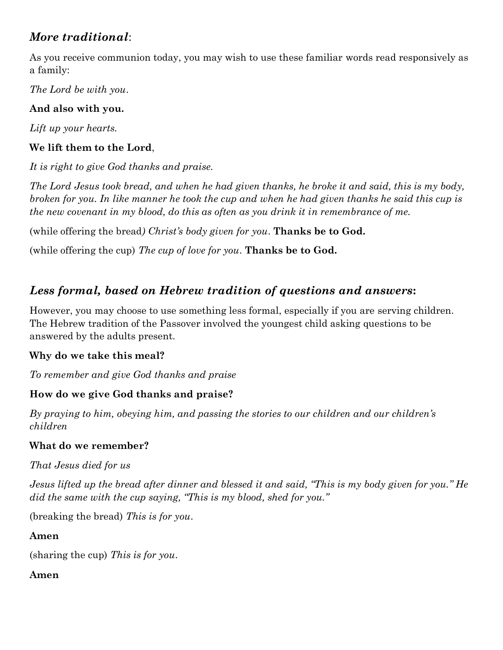# *More traditional*:

As you receive communion today, you may wish to use these familiar words read responsively as a family:

*The Lord be with you*.

### **And also with you.**

*Lift up your hearts.*

### **We lift them to the Lord**,

*It is right to give God thanks and praise.*

*The Lord Jesus took bread, and when he had given thanks, he broke it and said, this is my body, broken for you. In like manner he took the cup and when he had given thanks he said this cup is the new covenant in my blood, do this as often as you drink it in remembrance of me.* 

(while offering the bread*) Christ's body given for you*. **Thanks be to God.**

(while offering the cup) *The cup of love for you*. **Thanks be to God.**

# *Less formal, based on Hebrew tradition of questions and answers***:**

However, you may choose to use something less formal, especially if you are serving children. The Hebrew tradition of the Passover involved the youngest child asking questions to be answered by the adults present.

### **Why do we take this meal?**

*To remember and give God thanks and praise*

## **How do we give God thanks and praise?**

*By praying to him, obeying him, and passing the stories to our children and our children's children*

### **What do we remember?**

*That Jesus died for us*

*Jesus lifted up the bread after dinner and blessed it and said, "This is my body given for you." He did the same with the cup saying, "This is my blood, shed for you."* 

(breaking the bread) *This is for you*.

**Amen**

(sharing the cup) *This is for you*.

### **Amen**